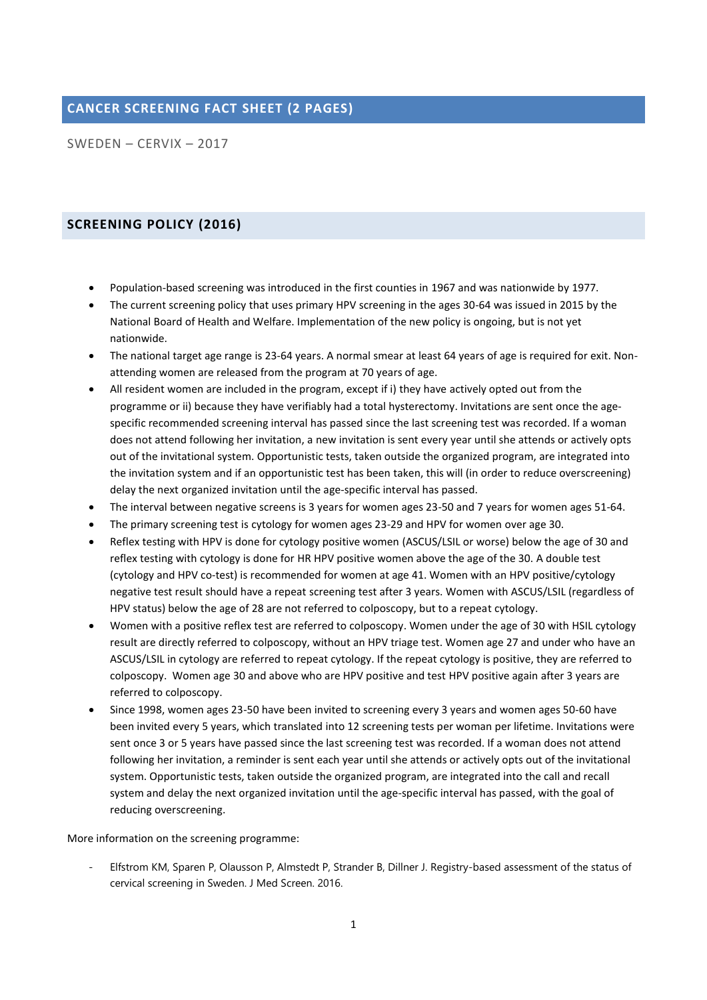## **CANCER SCREENING FACT SHEET (2 PAGES)**

SWEDEN – CERVIX – 2017

## **SCREENING POLICY (2016)**

- Population-based screening was introduced in the first counties in 1967 and was nationwide by 1977.
- The current screening policy that uses primary HPV screening in the ages 30-64 was issued in 2015 by the National Board of Health and Welfare. Implementation of the new policy is ongoing, but is not yet nationwide.
- The national target age range is 23-64 years. A normal smear at least 64 years of age is required for exit. Nonattending women are released from the program at 70 years of age.
- All resident women are included in the program, except if i) they have actively opted out from the programme or ii) because they have verifiably had a total hysterectomy. Invitations are sent once the agespecific recommended screening interval has passed since the last screening test was recorded. If a woman does not attend following her invitation, a new invitation is sent every year until she attends or actively opts out of the invitational system. Opportunistic tests, taken outside the organized program, are integrated into the invitation system and if an opportunistic test has been taken, this will (in order to reduce overscreening) delay the next organized invitation until the age-specific interval has passed.
- The interval between negative screens is 3 years for women ages 23-50 and 7 years for women ages 51-64.
- The primary screening test is cytology for women ages 23-29 and HPV for women over age 30.
- Reflex testing with HPV is done for cytology positive women (ASCUS/LSIL or worse) below the age of 30 and reflex testing with cytology is done for HR HPV positive women above the age of the 30. A double test (cytology and HPV co-test) is recommended for women at age 41. Women with an HPV positive/cytology negative test result should have a repeat screening test after 3 years. Women with ASCUS/LSIL (regardless of HPV status) below the age of 28 are not referred to colposcopy, but to a repeat cytology.
- Women with a positive reflex test are referred to colposcopy. Women under the age of 30 with HSIL cytology result are directly referred to colposcopy, without an HPV triage test. Women age 27 and under who have an ASCUS/LSIL in cytology are referred to repeat cytology. If the repeat cytology is positive, they are referred to colposcopy. Women age 30 and above who are HPV positive and test HPV positive again after 3 years are referred to colposcopy.
- Since 1998, women ages 23-50 have been invited to screening every 3 years and women ages 50-60 have been invited every 5 years, which translated into 12 screening tests per woman per lifetime. Invitations were sent once 3 or 5 years have passed since the last screening test was recorded. If a woman does not attend following her invitation, a reminder is sent each year until she attends or actively opts out of the invitational system. Opportunistic tests, taken outside the organized program, are integrated into the call and recall system and delay the next organized invitation until the age-specific interval has passed, with the goal of reducing overscreening.

More information on the screening programme:

- Elfstrom KM, Sparen P, Olausson P, Almstedt P, Strander B, Dillner J. Registry-based assessment of the status of cervical screening in Sweden. J Med Screen. 2016.